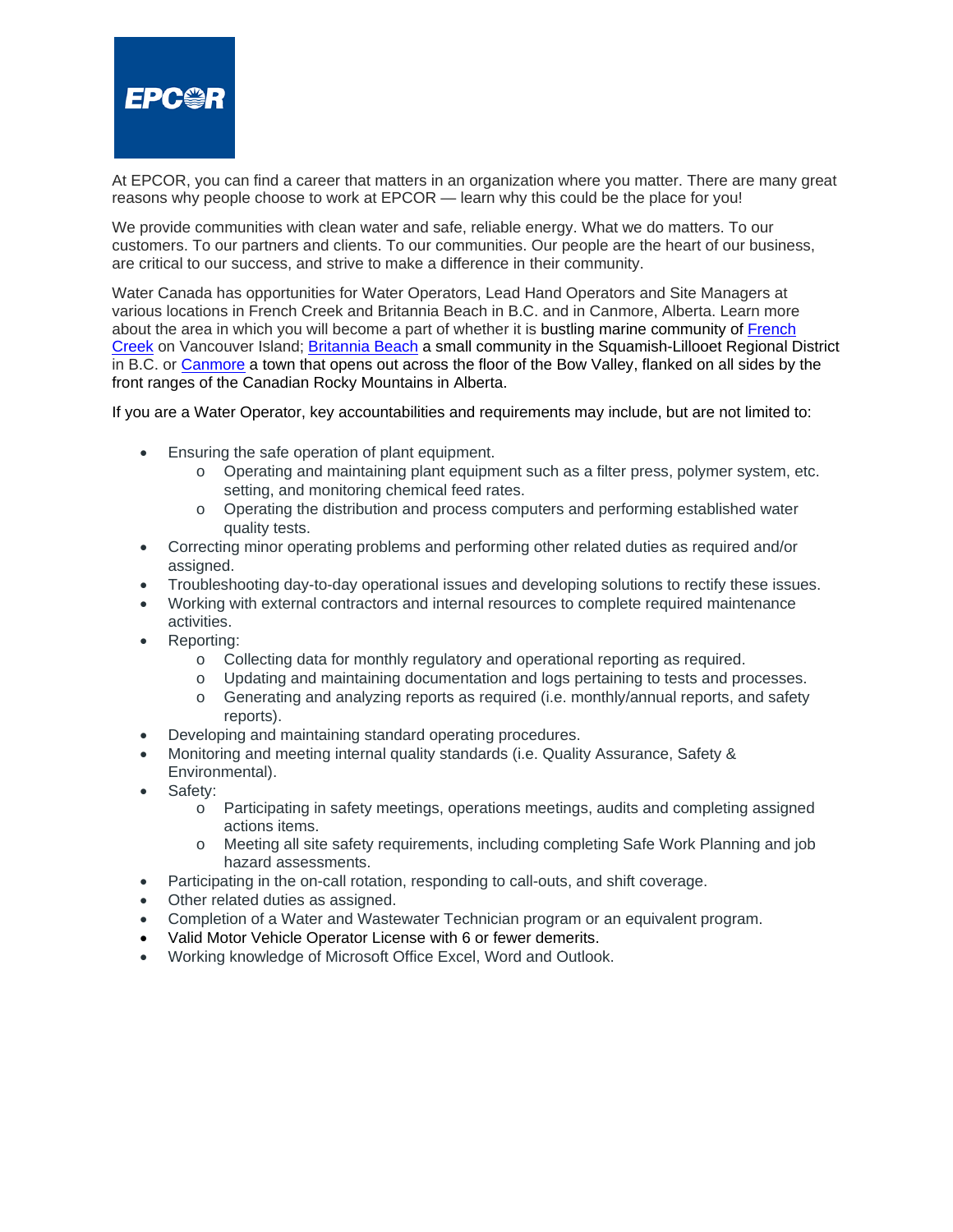

At EPCOR, you can find a career that matters in an organization where you matter. There are many great reasons why people choose to work at EPCOR — learn why this could be the place for you!

We provide communities with clean water and safe, reliable energy. What we do matters. To our customers. To our partners and clients. To our communities. Our people are the heart of our business, are critical to our success, and strive to make a difference in their community.

Water Canada has opportunities for Water Operators, Lead Hand Operators and Site Managers at various locations in French Creek and Britannia Beach in B.C. and in Canmore, Alberta. Learn more about the area in which you will become a part of whether it is bustling marine community of [French](http://vancouverisland.com/plan-your-trip/regions-and-towns/vancouver-island-bc-islands/french-creek/)  [Creek](http://vancouverisland.com/plan-your-trip/regions-and-towns/vancouver-island-bc-islands/french-creek/) on Vancouver Island; [Britannia Beach](https://www.exploresquamish.com/explore/britannia-beach) a small community in the Squamish-Lillooet Regional District in B.C. or [Canmore](https://canmore.ca/) a town that opens out across the floor of the Bow Valley, flanked on all sides by the front ranges of the Canadian Rocky Mountains in Alberta.

If you are a Water Operator, key accountabilities and requirements may include, but are not limited to:

- Ensuring the safe operation of plant equipment.
	- o Operating and maintaining plant equipment such as a filter press, polymer system, etc. setting, and monitoring chemical feed rates.
	- o Operating the distribution and process computers and performing established water quality tests.
- Correcting minor operating problems and performing other related duties as required and/or assigned.
- Troubleshooting day-to-day operational issues and developing solutions to rectify these issues.
- Working with external contractors and internal resources to complete required maintenance activities.
- Reporting:
	- o Collecting data for monthly regulatory and operational reporting as required.
	- o Updating and maintaining documentation and logs pertaining to tests and processes.
	- o Generating and analyzing reports as required (i.e. monthly/annual reports, and safety reports).
- Developing and maintaining standard operating procedures.
- Monitoring and meeting internal quality standards (i.e. Quality Assurance, Safety & Environmental).
- Safety:
	- o Participating in safety meetings, operations meetings, audits and completing assigned actions items.
	- o Meeting all site safety requirements, including completing Safe Work Planning and job hazard assessments.
- Participating in the on-call rotation, responding to call-outs, and shift coverage.
- Other related duties as assigned.
- Completion of a Water and Wastewater Technician program or an equivalent program.
- Valid Motor Vehicle Operator License with 6 or fewer demerits.
- Working knowledge of Microsoft Office Excel, Word and Outlook.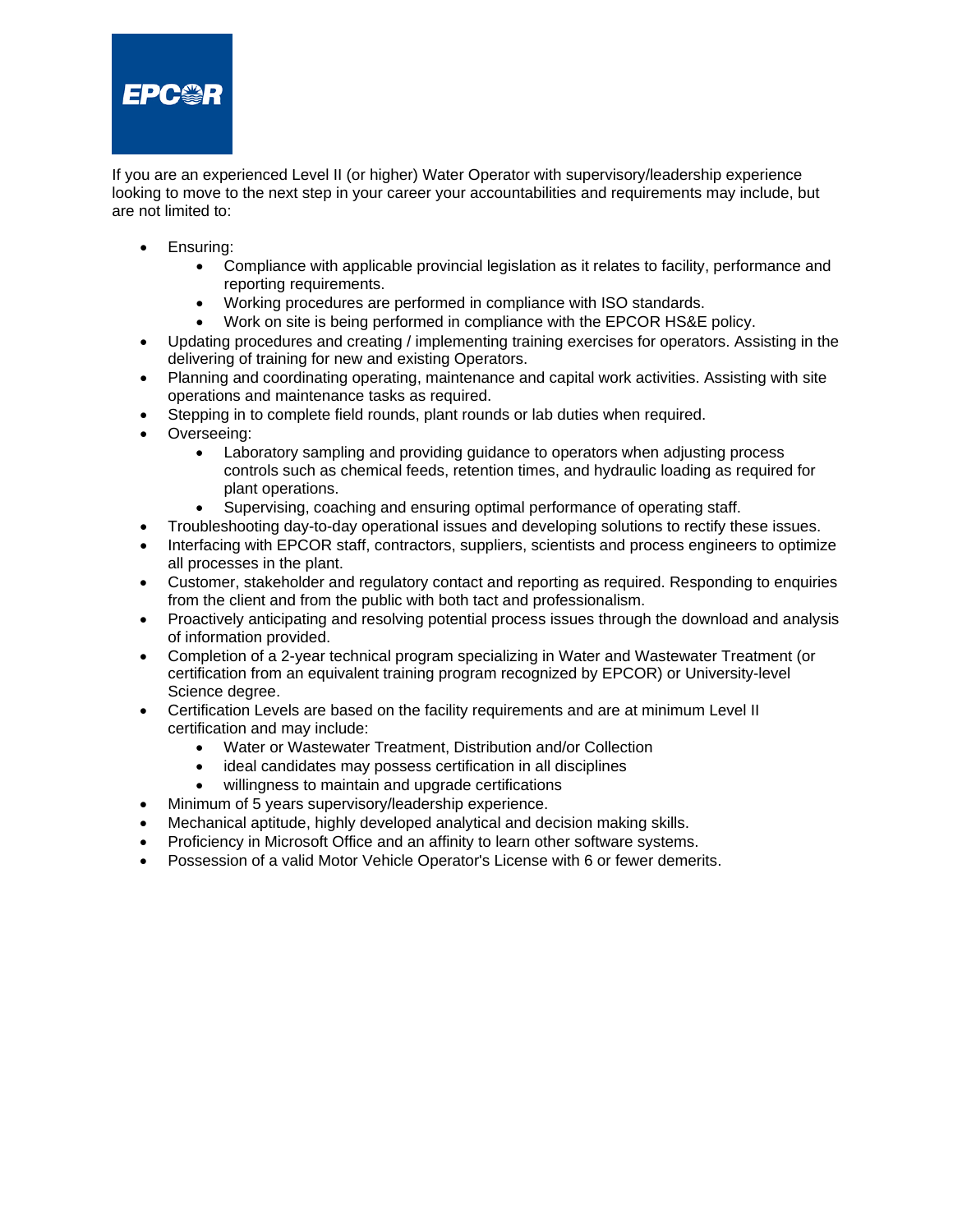

If you are an experienced Level II (or higher) Water Operator with supervisory/leadership experience looking to move to the next step in your career your accountabilities and requirements may include, but are not limited to:

- Ensuring:
	- Compliance with applicable provincial legislation as it relates to facility, performance and reporting requirements.
	- Working procedures are performed in compliance with ISO standards.
	- Work on site is being performed in compliance with the EPCOR HS&E policy.
- Updating procedures and creating / implementing training exercises for operators. Assisting in the delivering of training for new and existing Operators.
- Planning and coordinating operating, maintenance and capital work activities. Assisting with site operations and maintenance tasks as required.
- Stepping in to complete field rounds, plant rounds or lab duties when required.
- Overseeing:
	- Laboratory sampling and providing guidance to operators when adjusting process controls such as chemical feeds, retention times, and hydraulic loading as required for plant operations.
	- Supervising, coaching and ensuring optimal performance of operating staff.
	- Troubleshooting day-to-day operational issues and developing solutions to rectify these issues.
- Interfacing with EPCOR staff, contractors, suppliers, scientists and process engineers to optimize all processes in the plant.
- Customer, stakeholder and regulatory contact and reporting as required. Responding to enquiries from the client and from the public with both tact and professionalism.
- Proactively anticipating and resolving potential process issues through the download and analysis of information provided.
- Completion of a 2-year technical program specializing in Water and Wastewater Treatment (or certification from an equivalent training program recognized by EPCOR) or University-level Science degree.
- Certification Levels are based on the facility requirements and are at minimum Level II certification and may include:
	- Water or Wastewater Treatment, Distribution and/or Collection
	- ideal candidates may possess certification in all disciplines
	- willingness to maintain and upgrade certifications
- Minimum of 5 years supervisory/leadership experience.
- Mechanical aptitude, highly developed analytical and decision making skills.
- Proficiency in Microsoft Office and an affinity to learn other software systems.
- Possession of a valid Motor Vehicle Operator's License with 6 or fewer demerits.